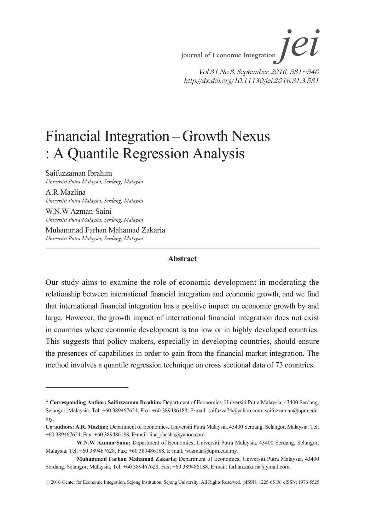# Financial Integration – Growth Nexus : A Quantile Regression Analysis

Saifuzzaman Ibrahim *Universiti Putra Malaysia, Serdang, Malaysia*

A.R Mazlina *Universiti Putra Malaysia, Serdang, Malaysia*

W.N.W Azman-Saini *Universiti Putra Malaysia, Serdang, Malaysia* Muhammad Farhan Mahamad Zakaria *Universiti Putra Malaysia, Serdang, Malaysia*

#### **Abstract**

Our study aims to examine the role of economic development in moderating the relationship between international financial integration and economic growth, and we find that international financial integration has a positive impact on economic growth by and large. However, the growth impact of international financial integration does not exist in countries where economic development is too low or in highly developed countries. This suggests that policy makers, especially in developing countries, should ensure the presences of capabilities in order to gain from the financial market integration. The method involves a quantile regression technique on cross-sectional data of 73 countries.

<sup>\*</sup> **Corresponding Author: Saifuzzaman Ibrahim;** Department of Economics, Universiti Putra Malaysia, 43400 Serdang, Selangor, Malaysia; Tel: +60 389467624, Fax: +60 389486188, E-mail: saifuzza74@yahoo.com; saifuzzaman@upm.edu. my.

**Co-authors: A.R. Mazlina;** Department of Economics, Universiti Putra Malaysia, 43400 Serdang, Selangor, Malaysia; Tel: +60 389467624, Fax: +60 389486188, E-mail: lina\_shasha@yahoo.com.

**W.N.W Azman-Saini;** Department of Economics, Universiti Putra Malaysia, 43400 Serdang, Selangor, Malaysia; Tel: +60 389467628, Fax: +60 389486188, E-mail: wazman@upm.edu.my.

**Muhammad Farhan Mahamad Zakaria;** Department of Economics, Universiti Putra Malaysia, 43400 Serdang, Selangor, Malaysia; Tel: +60 389467628, Fax: +60 389486188, E-mail: farhan.zakaria@ymail.com.

<sup>ⓒ</sup> 2016-Center for Economic Integration, Sejong Institution, Sejong University, All Rights Reserved. pISSN: 1225-651X eISSN: 1976-5525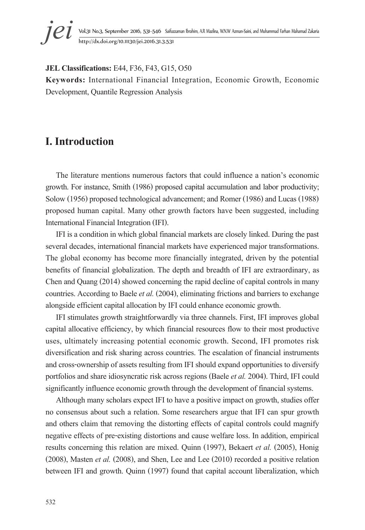

**JEL Classifications:** E44, F36, F43, G15, O50

**Keywords:** International Financial Integration, Economic Growth, Economic Development, Quantile Regression Analysis

### **I. Introduction**

The literature mentions numerous factors that could influence a nation's economic growth. For instance, Smith (1986) proposed capital accumulation and labor productivity; Solow (1956) proposed technological advancement; and Romer (1986) and Lucas (1988) proposed human capital. Many other growth factors have been suggested, including International Financial Integration (IFI).

IFI is a condition in which global financial markets are closely linked. During the past several decades, international financial markets have experienced major transformations. The global economy has become more financially integrated, driven by the potential benefits of financial globalization. The depth and breadth of IFI are extraordinary, as Chen and Quang (2014) showed concerning the rapid decline of capital controls in many countries. According to Baele *et al.* (2004), eliminating frictions and barriers to exchange alongside efficient capital allocation by IFI could enhance economic growth.

IFI stimulates growth straightforwardly via three channels. First, IFI improves global capital allocative efficiency, by which financial resources flow to their most productive uses, ultimately increasing potential economic growth. Second, IFI promotes risk diversification and risk sharing across countries. The escalation of financial instruments and cross-ownership of assets resulting from IFI should expand opportunities to diversify portfolios and share idiosyncratic risk across regions (Baele *et al.* 2004). Third, IFI could significantly influence economic growth through the development of financial systems.

Although many scholars expect IFI to have a positive impact on growth, studies offer no consensus about such a relation. Some researchers argue that IFI can spur growth and others claim that removing the distorting effects of capital controls could magnify negative effects of pre-existing distortions and cause welfare loss. In addition, empirical results concerning this relation are mixed. Quinn (1997), Bekaert *et al.* (2005), Honig (2008), Masten *et al.* (2008), and Shen, Lee and Lee (2010) recorded a positive relation between IFI and growth. Quinn (1997) found that capital account liberalization, which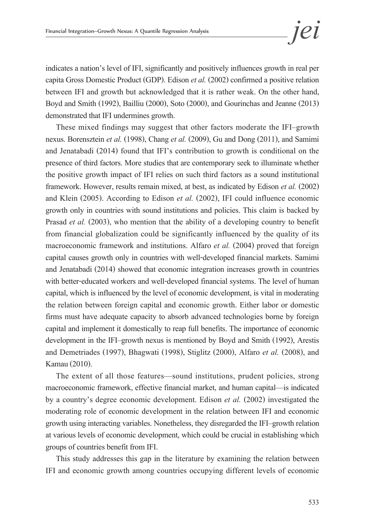indicates a nation's level of IFI, significantly and positively influences growth in real per capita Gross Domestic Product (GDP). Edison *et al.* (2002) confirmed a positive relation between IFI and growth but acknowledged that it is rather weak. On the other hand, Boyd and Smith (1992), Bailliu (2000), Soto (2000), and Gourinchas and Jeanne (2013) demonstrated that IFI undermines growth.

These mixed findings may suggest that other factors moderate the IFI–growth nexus. Borensztein *et al.* (1998), Chang *et al.* (2009), Gu and Dong (2011), and Samimi and Jenatabadi (2014) found that IFI's contribution to growth is conditional on the presence of third factors. More studies that are contemporary seek to illuminate whether the positive growth impact of IFI relies on such third factors as a sound institutional framework. However, results remain mixed, at best, as indicated by Edison *et al.* (2002) and Klein (2005). According to Edison *et al.* (2002), IFI could influence economic growth only in countries with sound institutions and policies. This claim is backed by Prasad *et al.* (2003), who mention that the ability of a developing country to benefit from financial globalization could be significantly influenced by the quality of its macroeconomic framework and institutions. Alfaro *et al.* (2004) proved that foreign capital causes growth only in countries with well-developed financial markets. Samimi and Jenatabadi (2014) showed that economic integration increases growth in countries with better-educated workers and well-developed financial systems. The level of human capital, which is influenced by the level of economic development, is vital in moderating the relation between foreign capital and economic growth. Either labor or domestic firms must have adequate capacity to absorb advanced technologies borne by foreign capital and implement it domestically to reap full benefits. The importance of economic development in the IFI–growth nexus is mentioned by Boyd and Smith (1992), Arestis and Demetriades (1997), Bhagwati (1998), Stiglitz (2000), Alfaro *et al.* (2008), and Kamau (2010).

The extent of all those features—sound institutions, prudent policies, strong macroeconomic framework, effective financial market, and human capital—is indicated by a country's degree economic development. Edison *et al.* (2002) investigated the moderating role of economic development in the relation between IFI and economic growth using interacting variables. Nonetheless, they disregarded the IFI–growth relation at various levels of economic development, which could be crucial in establishing which groups of countries benefit from IFI.

This study addresses this gap in the literature by examining the relation between IFI and economic growth among countries occupying different levels of economic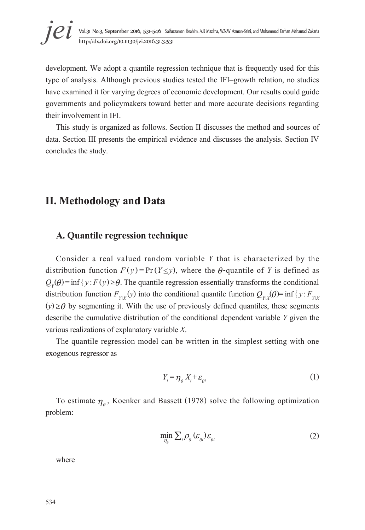development. We adopt a quantile regression technique that is frequently used for this type of analysis. Although previous studies tested the IFI–growth relation, no studies have examined it for varying degrees of economic development. Our results could guide governments and policymakers toward better and more accurate decisions regarding their involvement in IFI.

This study is organized as follows. Section II discusses the method and sources of data. Section III presents the empirical evidence and discusses the analysis. Section IV concludes the study.

### **II. Methodology and Data**

#### **A. Quantile regression technique**

Consider a real valued random variable *Y* that is characterized by the distribution function  $F(y) = Pr(Y \le y)$ , where the  $\theta$ -quantile of *Y* is defined as  $Q_{y}(\theta)$  = inf {*y*:*F*(*y*) ≥ $\theta$ . The quantile regression essentially transforms the conditional distribution function  $F_{Y|X}(y)$  into the conditional quantile function  $Q_{Y|X}(\theta)$  = inf{*y*:  $F_{Y|X}$  $(y) \geq \theta$  by segmenting it. With the use of previously defined quantiles, these segments describe the cumulative distribution of the conditional dependent variable *Y* given the various realizations of explanatory variable *X*.<br>The quantile regression model can be written in the simplest setting with one

exogenous regressor as

$$
Y_i = \eta_\theta X_i + \varepsilon_{\theta i} \tag{1}
$$

To estimate  $\eta_a$ , Koenker and Bassett (1978) solve the following optimization problem:

$$
\min_{\eta_{\theta}} \sum_{i} \rho_{\theta} \left( \varepsilon_{\theta i} \right) \varepsilon_{\theta i} \tag{2}
$$

where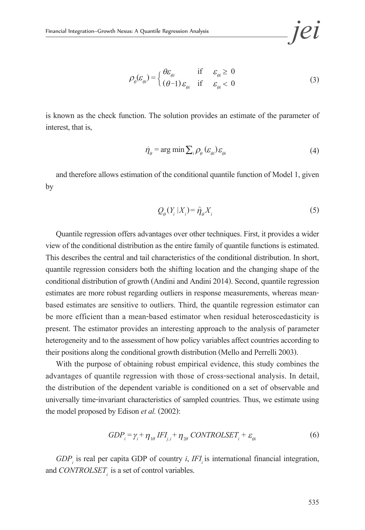$$
\rho_{\theta}(\varepsilon_{\theta i}) = \begin{cases} \theta \varepsilon_{\theta i} & \text{if } \varepsilon_{\theta i} \ge 0\\ (\theta - 1) \varepsilon_{\theta i} & \text{if } \varepsilon_{\theta i} < 0 \end{cases}
$$
(3)

is known as the check function. The solution provides an estimate of the parameter of interest, that is,

$$
\hat{\eta}_{\theta} = \arg \min \sum_{i} \rho_{\theta} \left( \varepsilon_{\theta i} \right) \varepsilon_{\theta i} \tag{4}
$$

and therefore allows estimation of the conditional quantile function of Model 1, given by

$$
Q_{\theta}(Y_i | X_i) = \hat{\eta}_{\theta} X_i
$$
 (5)

Quantile regression offers advantages over other techniques. First, it provides a wider view of the conditional distribution as the entire family of quantile functions is estimated. This describes the central and tail characteristics of the conditional distribution. In short, quantile regression considers both the shifting location and the changing shape of the conditional distribution of growth (Andini and Andini 2014). Second, quantile regression estimates are more robust regarding outliers in response measurements, whereas meanbased estimates are sensitive to outliers. Third, the quantile regression estimator can be more efficient than a mean-based estimator when residual heteroscedasticity is present. The estimator provides an interesting approach to the analysis of parameter heterogeneity and to the assessment of how policy variables affect countries according to their positions along the conditional growth distribution (Mello and Perrelli 2003).

With the purpose of obtaining robust empirical evidence, this study combines the advantages of quantile regression with those of cross-sectional analysis. In detail, the distribution of the dependent variable is conditioned on a set of observable and universally time-invariant characteristics of sampled countries. Thus, we estimate using the model proposed by Edison *et al.* (2002):

$$
GDP_i = \gamma_i + \eta_{1\theta} IFI_{j,i} + \eta_{2\theta} CONTROLSET_i + \varepsilon_{\theta i}
$$
 (6)

 $GDP<sub>i</sub>$  is real per capita GDP of country *i*, *IFI<sub>i</sub>* is international financial integration, and *CONTROLSET*, is a set of control variables.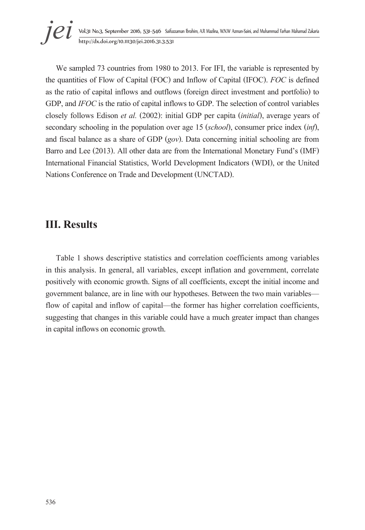**jei** Vol.31 No.3, September 2016, 531–546 Saifuzzaman Ibrahim, A.R Mazlina, W.N.W Azman-Saini, and Muhammad Farhan Mahamad Zakaria<br>http://dx.doi.org/10.11130/jei.2016.31.3.531

We sampled 73 countries from 1980 to 2013. For IFI, the variable is represented by the quantities of Flow of Capital (FOC) and Inflow of Capital (IFOC). *FOC* is defined as the ratio of capital inflows and outflows (foreign direct investment and portfolio) to GDP, and *IFOC* is the ratio of capital inflows to GDP. The selection of control variables closely follows Edison *et al.* (2002): initial GDP per capita (*initial*), average years of secondary schooling in the population over age 15 (*school*), consumer price index (*inf*), and fiscal balance as a share of GDP (*gov*). Data concerning initial schooling are from Barro and Lee (2013). All other data are from the International Monetary Fund's (IMF) International Financial Statistics, World Development Indicators (WDI), or the United Nations Conference on Trade and Development (UNCTAD).

## **III. Results**

Table 1 shows descriptive statistics and correlation coefficients among variables in this analysis. In general, all variables, except inflation and government, correlate positively with economic growth. Signs of all coefficients, except the initial income and government balance, are in line with our hypotheses. Between the two main variables flow of capital and inflow of capital—the former has higher correlation coefficients, suggesting that changes in this variable could have a much greater impact than changes in capital inflows on economic growth.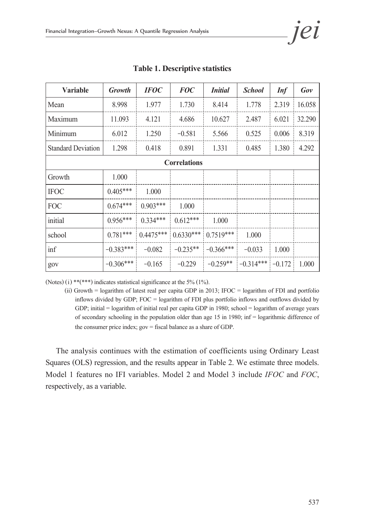| Variable                  | Growth      | <b>IFOC</b> | <b>FOC</b>  | <b>Initial</b> | <b>School</b> | Inf      | Gov    |  |
|---------------------------|-------------|-------------|-------------|----------------|---------------|----------|--------|--|
| Mean                      | 8.998       | 1.977       | 1.730       | 8.414          | 1.778         | 2.319    | 16.058 |  |
| Maximum                   | 11.093      | 4.121       | 4.686       | 10.627         | 2.487         | 6.021    | 32.290 |  |
| Minimum                   | 6.012       | 1.250       | $-0.581$    | 5.566          | 0.525         | 0.006    | 8.319  |  |
| <b>Standard Deviation</b> | 1.298       | 0.418       | 0.891       | 1.331          | 0.485         | 1.380    | 4.292  |  |
| <b>Correlations</b>       |             |             |             |                |               |          |        |  |
| Growth                    | 1.000       |             |             |                |               |          |        |  |
| <b>IFOC</b>               | $0.405***$  | 1.000       |             |                |               |          |        |  |
| <b>FOC</b>                | $0.674***$  | $0.903***$  | 1.000       |                |               |          |        |  |
| initial                   | $0.956***$  | $0.334***$  | $0.612***$  | 1.000          |               |          |        |  |
| school                    | $0.781***$  | $0.4475***$ | $0.6330***$ | $0.7519***$    | 1.000         |          |        |  |
| inf                       | $-0.383***$ | $-0.082$    | $-0.235**$  | $-0.366***$    | $-0.033$      | 1.000    |        |  |
| gov                       | $-0.306***$ | $-0.165$    | $-0.229$    | $-0.259**$     | $-0.314***$   | $-0.172$ | 1.000  |  |

#### **Table 1. Descriptive statistics**

(Notes) (i) \*\*(\*\*\*) indicates statistical significance at the 5% (1%).

(ii) Growth = logarithm of latest real per capita GDP in 2013; IFOC = logarithm of FDI and portfolio inflows divided by GDP; FOC = logarithm of FDI plus portfolio inflows and outflows divided by GDP; initial = logarithm of initial real per capita GDP in 1980; school = logarithm of average years of secondary schooling in the population older than age 15 in 1980; inf = logarithmic difference of the consumer price index; gov = fiscal balance as a share of GDP.

The analysis continues with the estimation of coefficients using Ordinary Least Squares (OLS) regression, and the results appear in Table 2. We estimate three models. Model 1 features no IFI variables. Model 2 and Model 3 include *IFOC* and *FOC*, respectively, as a variable.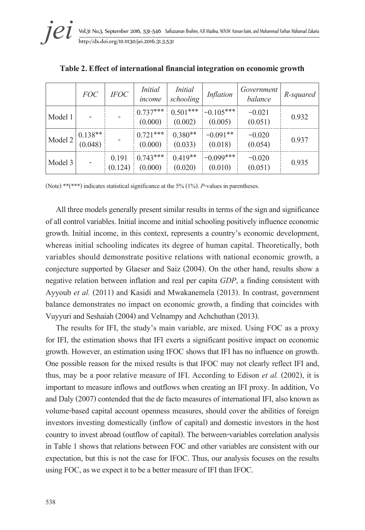|         | <i>FOC</i>           | <i>IFOC</i>      | <i>Initial</i><br>income | <i>Initial</i><br>schooling | Inflation              | Government<br>balance | R-squared |
|---------|----------------------|------------------|--------------------------|-----------------------------|------------------------|-----------------------|-----------|
| Model 1 |                      |                  | $0.737***$<br>(0.000)    | $0.501***$<br>(0.002)       | $-0.105***$<br>(0.005) | $-0.021$<br>(0.051)   | 0.932     |
| Model 2 | $0.138**$<br>(0.048) |                  | $0.721***$<br>(0.000)    | $0.380**$<br>(0.033)        | $-0.091**$<br>(0.018)  | $-0.020$<br>(0.054)   | 0.937     |
| Model 3 |                      | 0.191<br>(0.124) | $0.743***$<br>(0.000)    | $0.419**$<br>(0.020)        | $-0.099***$<br>(0.010) | $-0.020$<br>(0.051)   | 0.935     |

**Table 2. Effect of international financial integration on economic growth** 

(Note) \*\*(\*\*\*) indicates statistical significance at the 5% (1%). *P*-values in parentheses.

All three models generally present similar results in terms of the sign and significance of all control variables. Initial income and initial schooling positively influence economic growth. Initial income, in this context, represents a country's economic development, whereas initial schooling indicates its degree of human capital. Theoretically, both variables should demonstrate positive relations with national economic growth, a conjecture supported by Glaeser and Saiz (2004). On the other hand, results show a negative relation between inflation and real per capita *GDP*, a finding consistent with Ayyoub *et al.* (2011) and Kasidi and Mwakanemela (2013). In contrast, government balance demonstrates no impact on economic growth, a finding that coincides with Vuyyuri and Seshaiah (2004) and Velnampy and Achchuthan (2013).

The results for IFI, the study's main variable, are mixed. Using FOC as a proxy for IFI, the estimation shows that IFI exerts a significant positive impact on economic growth. However, an estimation using IFOC shows that IFI has no influence on growth. One possible reason for the mixed results is that IFOC may not clearly reflect IFI and, thus, may be a poor relative measure of IFI. According to Edison *et al.* (2002), it is important to measure inflows and outflows when creating an IFI proxy. In addition, Vo and Daly (2007) contended that the de facto measures of international IFI, also known as volume-based capital account openness measures, should cover the abilities of foreign investors investing domestically (inflow of capital) and domestic investors in the host country to invest abroad (outflow of capital). The between-variables correlation analysis in Table 1 shows that relations between FOC and other variables are consistent with our expectation, but this is not the case for IFOC. Thus, our analysis focuses on the results using FOC, as we expect it to be a better measure of IFI than IFOC.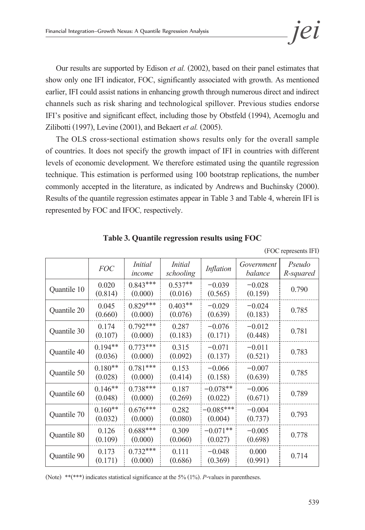Our results are supported by Edison *et al.* (2002), based on their panel estimates that show only one IFI indicator, FOC, significantly associated with growth. As mentioned earlier, IFI could assist nations in enhancing growth through numerous direct and indirect channels such as risk sharing and technological spillover. Previous studies endorse IFI's positive and significant effect, including those by Obstfeld (1994), Acemoglu and Zilibotti (1997), Levine (2001), and Bekaert *et al.* (2005).

The OLS cross-sectional estimation shows results only for the overall sample of countries. It does not specify the growth impact of IFI in countries with different levels of economic development. We therefore estimated using the quantile regression technique. This estimation is performed using 100 bootstrap replications, the number commonly accepted in the literature, as indicated by Andrews and Buchinsky (2000). Results of the quantile regression estimates appear in Table 3 and Table 4, wherein IFI is represented by FOC and IFOC*,* respectively.

|             | <b>FOC</b>           | <i>Initial</i><br>income | <i>Initial</i><br>schooling | Inflation              | Government<br>balance | Pseudo<br>R-squared |
|-------------|----------------------|--------------------------|-----------------------------|------------------------|-----------------------|---------------------|
| Quantile 10 | 0.020<br>(0.814)     | $0.843***$<br>(0.000)    | $0.537**$<br>(0.016)        | $-0.039$<br>(0.565)    | $-0.028$<br>(0.159)   | 0.790               |
| Quantile 20 | 0.045<br>(0.660)     | $0.829***$<br>(0.000)    | $0.403**$<br>(0.076)        | $-0.029$<br>(0.639)    | $-0.024$<br>(0.183)   | 0.785               |
| Quantile 30 | 0.174<br>(0.107)     | $0.792***$<br>(0.000)    | 0.287<br>(0.183)            | $-0.076$<br>(0.171)    | $-0.012$<br>(0.448)   | 0.781               |
| Quantile 40 | $0.194**$<br>(0.036) | $0.773***$<br>(0.000)    | 0.315<br>(0.092)            | $-0.071$<br>(0.137)    | $-0.011$<br>(0.521)   | 0.783               |
| Quantile 50 | $0.180**$<br>(0.028) | $0.781***$<br>(0.000)    | 0.153<br>(0.414)            | $-0.066$<br>(0.158)    | $-0.007$<br>(0.639)   | 0.785               |
| Quantile 60 | $0.146**$<br>(0.048) | $0.738***$<br>(0.000)    | 0.187<br>(0.269)            | $-0.078**$<br>(0.022)  | $-0.006$<br>(0.671)   | 0.789               |
| Quantile 70 | $0.160**$<br>(0.032) | $0.676***$<br>(0.000)    | 0.282<br>(0.080)            | $-0.085***$<br>(0.004) | $-0.004$<br>(0.737)   | 0.793               |
| Quantile 80 | 0.126<br>(0.109)     | $0.688***$<br>(0.000)    | 0.309<br>(0.060)            | $-0.071**$<br>(0.027)  | $-0.005$<br>(0.698)   | 0.778               |
| Quantile 90 | 0.173<br>(0.171)     | $0.732***$<br>(0.000)    | 0.111<br>(0.686)            | $-0.048$<br>(0.369)    | 0.000<br>(0.991)      | 0.714               |

**Table 3. Quantile regression results using FOC** 

(FOC represents IFI)

(Note) \*\*(\*\*\*) indicates statistical significance at the 5% (1%). *P*-values in parentheses.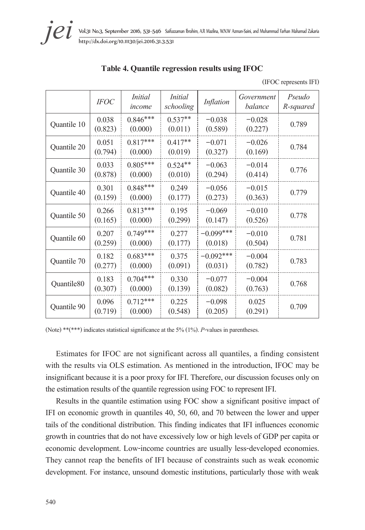**jei** Vol.31 No.3, September 2016, 531–546 Saifuzzaman Ibrahim, A.R Mazlina, W.N.W Azman-Saini, and Muhammad Farhan Mahamad Zakaria<br>http://dx.doi.org/10.11130/jei.2016.31.3.531

| Table 4. Quantile regression results using IFOC |  |
|-------------------------------------------------|--|
|-------------------------------------------------|--|

(IFOC represents IFI)

|             | <b>IFOC</b>      | <i>Initial</i><br>income | <i>Initial</i><br>schooling | Inflation              | Government<br>balance | Pseudo<br>R-squared |
|-------------|------------------|--------------------------|-----------------------------|------------------------|-----------------------|---------------------|
| Quantile 10 | 0.038<br>(0.823) | $0.846***$<br>(0.000)    | $0.537**$<br>(0.011)        | $-0.038$<br>(0.589)    | $-0.028$<br>(0.227)   | 0.789               |
| Quantile 20 | 0.051<br>(0.794) | $0.817***$<br>(0.000)    | $0.417**$<br>(0.019)        | $-0.071$<br>(0.327)    | $-0.026$<br>(0.169)   | 0.784               |
| Quantile 30 | 0.033<br>(0.878) | $0.805***$<br>(0.000)    | $0.524**$<br>(0.010)        | $-0.063$<br>(0.294)    | $-0.014$<br>(0.414)   | 0.776               |
| Quantile 40 | 0.301<br>(0.159) | $0.848***$<br>(0.000)    | 0.249<br>(0.177)            | $-0.056$<br>(0.273)    | $-0.015$<br>(0.363)   | 0.779               |
| Quantile 50 | 0.266<br>(0.165) | $0.813***$<br>(0.000)    | 0.195<br>(0.299)            | $-0.069$<br>(0.147)    | $-0.010$<br>(0.526)   | 0.778               |
| Quantile 60 | 0.207<br>(0.259) | $0.749***$<br>(0.000)    | 0.277<br>(0.177)            | $-0.099***$<br>(0.018) | $-0.010$<br>(0.504)   | 0.781               |
| Quantile 70 | 0.182<br>(0.277) | $0.683***$<br>(0.000)    | 0.375<br>(0.091)            | $-0.092***$<br>(0.031) | $-0.004$<br>(0.782)   | 0.783               |
| Quantile80  | 0.183<br>(0.307) | $0.704***$<br>(0.000)    | 0.330<br>(0.139)            | $-0.077$<br>(0.082)    | $-0.004$<br>(0.763)   | 0.768               |
| Quantile 90 | 0.096<br>(0.719) | $0.712***$<br>(0.000)    | 0.225<br>(0.548)            | $-0.098$<br>(0.205)    | 0.025<br>(0.291)      | 0.709               |

(Note) \*\*(\*\*\*) indicates statistical significance at the 5% (1%). *P*-values in parentheses.

Estimates for IFOC are not significant across all quantiles, a finding consistent with the results via OLS estimation. As mentioned in the introduction, IFOC may be insignificant because it is a poor proxy for IFI. Therefore, our discussion focuses only on the estimation results of the quantile regression using FOC to represent IFI.

Results in the quantile estimation using FOC show a significant positive impact of IFI on economic growth in quantiles 40, 50, 60, and 70 between the lower and upper tails of the conditional distribution. This finding indicates that IFI influences economic growth in countries that do not have excessively low or high levels of GDP per capita or economic development. Low-income countries are usually less-developed economies. They cannot reap the benefits of IFI because of constraints such as weak economic development. For instance, unsound domestic institutions, particularly those with weak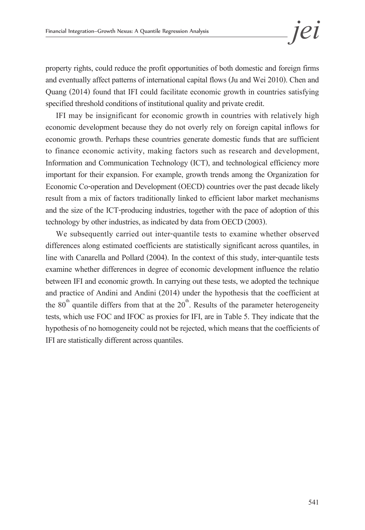property rights, could reduce the profit opportunities of both domestic and foreign firms and eventually affect patterns of international capital flows (Ju and Wei 2010). Chen and Quang (2014) found that IFI could facilitate economic growth in countries satisfying specified threshold conditions of institutional quality and private credit.

IFI may be insignificant for economic growth in countries with relatively high economic development because they do not overly rely on foreign capital inflows for economic growth. Perhaps these countries generate domestic funds that are sufficient to finance economic activity, making factors such as research and development, Information and Communication Technology (ICT), and technological efficiency more important for their expansion. For example, growth trends among the Organization for Economic Co-operation and Development (OECD) countries over the past decade likely result from a mix of factors traditionally linked to efficient labor market mechanisms and the size of the ICT-producing industries, together with the pace of adoption of this technology by other industries, as indicated by data from OECD (2003).

We subsequently carried out inter-quantile tests to examine whether observed differences along estimated coefficients are statistically significant across quantiles, in line with Canarella and Pollard (2004). In the context of this study, inter-quantile tests examine whether differences in degree of economic development influence the relatio between IFI and economic growth. In carrying out these tests, we adopted the technique and practice of Andini and Andini (2014) under the hypothesis that the coefficient at the  $80<sup>th</sup>$  quantile differs from that at the  $20<sup>th</sup>$ . Results of the parameter heterogeneity tests, which use FOC and IFOC as proxies for IFI, are in Table 5. They indicate that the hypothesis of no homogeneity could not be rejected, which means that the coefficients of IFI are statistically different across quantiles.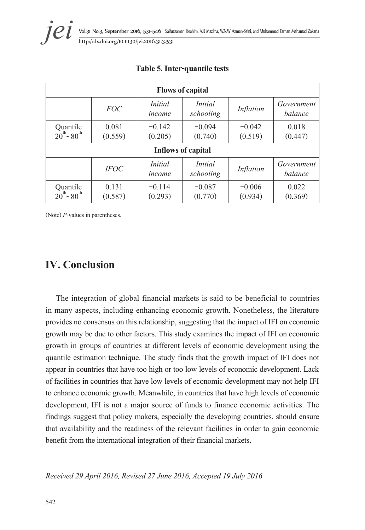| <b>Flows of capital</b>                                                                                      |                  |                          |                             |                     |                       |  |  |
|--------------------------------------------------------------------------------------------------------------|------------------|--------------------------|-----------------------------|---------------------|-----------------------|--|--|
|                                                                                                              | <b>FOC</b>       | <i>Initial</i><br>income | <i>Initial</i><br>schooling | Inflation           | Government<br>balance |  |  |
| Quantile<br>$20^{th}$ - 80 <sup>th</sup>                                                                     | 0.081<br>(0.559) | $-0.142$<br>(0.205)      | $-0.094$<br>(0.740)         | $-0.042$<br>(0.519) | 0.018<br>(0.447)      |  |  |
| <b>Inflows of capital</b>                                                                                    |                  |                          |                             |                     |                       |  |  |
| <i>Initial</i><br><i>Initial</i><br>Government<br><b>IFOC</b><br>Inflation<br>balance<br>schooling<br>income |                  |                          |                             |                     |                       |  |  |
| Quantile<br>$20^{th}$ - 80 <sup>th</sup>                                                                     | 0.131<br>(0.587) | $-0.114$<br>(0.293)      | $-0.087$<br>(0.770)         | $-0.006$<br>(0.934) | 0.022<br>(0.369)      |  |  |

#### **Table 5. Inter-quantile tests**

(Note) *P*-values in parentheses.

### **IV. Conclusion**

The integration of global financial markets is said to be beneficial to countries in many aspects, including enhancing economic growth. Nonetheless, the literature provides no consensus on this relationship, suggesting that the impact of IFI on economic growth may be due to other factors. This study examines the impact of IFI on economic growth in groups of countries at different levels of economic development using the quantile estimation technique. The study finds that the growth impact of IFI does not appear in countries that have too high or too low levels of economic development. Lack of facilities in countries that have low levels of economic development may not help IFI to enhance economic growth. Meanwhile, in countries that have high levels of economic development, IFI is not a major source of funds to finance economic activities. The findings suggest that policy makers, especially the developing countries, should ensure that availability and the readiness of the relevant facilities in order to gain economic benefit from the international integration of their financial markets.

*Received 29 April 2016, Revised 27 June 2016, Accepted 19 July 2016*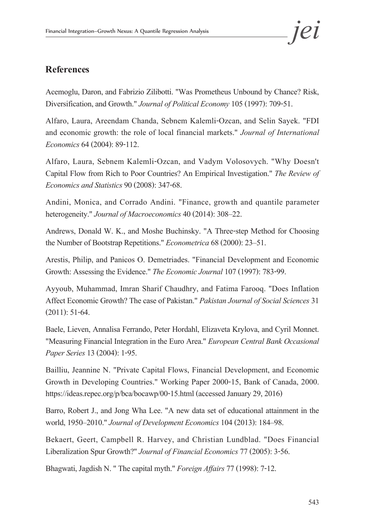### **References**

Acemoglu, Daron, and Fabrizio Zilibotti. "Was Prometheus Unbound by Chance? Risk, Diversification, and Growth." *Journal of Political Economy* 105 (1997): 709-51.

Alfaro, Laura, Areendam Chanda, Sebnem Kalemli-Ozcan, and Selin Sayek. "FDI and economic growth: the role of local financial markets." *Journal of International Economics* 64 (2004): 89-112.

Alfaro, Laura, Sebnem Kalemli-Ozcan, and Vadym Volosovych. "Why Doesn't Capital Flow from Rich to Poor Countries? An Empirical Investigation." *The Review of Economics and Statistics* 90 (2008): 347-68.

Andini, Monica, and Corrado Andini. "Finance, growth and quantile parameter heterogeneity." *Journal of Macroeconomics* 40 (2014): 308–22.

Andrews, Donald W. K., and Moshe Buchinsky. "A Three-step Method for Choosing the Number of Bootstrap Repetitions." *Econometrica* 68 (2000): 23–51.

Arestis, Philip, and Panicos O. Demetriades. "Financial Development and Economic Growth: Assessing the Evidence." *The Economic Journal* 107 (1997): 783-99.

Ayyoub, Muhammad, Imran Sharif Chaudhry, and Fatima Farooq. "Does Inflation Affect Economic Growth? The case of Pakistan." *Pakistan Journal of Social Sciences* 31 (2011): 51-64.

Baele, Lieven, Annalisa Ferrando, Peter Hordahl, Elizaveta Krylova, and Cyril Monnet. "Measuring Financial Integration in the Euro Area." *European Central Bank Occasional Paper Series* 13 (2004): 1-95.

Bailliu, Jeannine N. "Private Capital Flows, Financial Development, and Economic Growth in Developing Countries." Working Paper 2000-15, Bank of Canada, 2000. https://ideas.repec.org/p/bca/bocawp/00-15.html (accessed January 29, 2016)

Barro, Robert J., and Jong Wha Lee. "A new data set of educational attainment in the world, 1950–2010." *Journal of Development Economics* 104 (2013): 184–98.

Bekaert, Geert, Campbell R. Harvey, and Christian Lundblad. "Does Financial Liberalization Spur Growth?" *Journal of Financial Economics* 77 (2005): 3-56.

Bhagwati, Jagdish N. " The capital myth." *Foreign Affairs* 77 (1998): 7-12.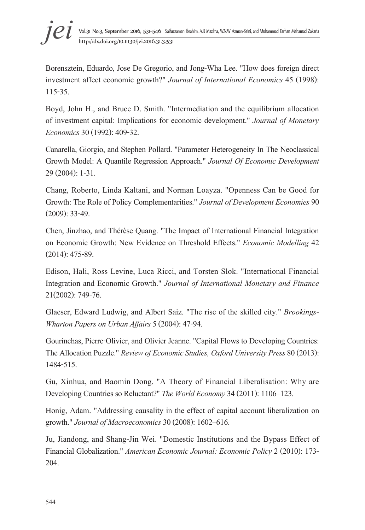

Borensztein, Eduardo, Jose De Gregorio, and Jong-Wha Lee. "How does foreign direct investment affect economic growth?" *Journal of International Economics* 45 (1998): 115-35.

Boyd, John H., and Bruce D. Smith. "Intermediation and the equilibrium allocation of investment capital: Implications for economic development." *Journal of Monetary Economics* 30 (1992): 409-32.

Canarella, Giorgio, and Stephen Pollard. "Parameter Heterogeneity In The Neoclassical Growth Model: A Quantile Regression Approach." *Journal Of Economic Development* 29 (2004): 1-31.

Chang, Roberto, Linda Kaltani, and Norman Loayza. "Openness Can be Good for Growth: The Role of Policy Complementarities." *Journal of Development Economies* 90 (2009): 33-49.

Chen, Jinzhao, and Thérèse Quang. "The Impact of International Financial Integration on Economic Growth: New Evidence on Threshold Effects." *Economic Modelling* 42 (2014): 475-89.

Edison, Hali, Ross Levine, Luca Ricci, and Torsten Slok. "International Financial Integration and Economic Growth." *Journal of International Monetary and Finance* 21(2002): 749-76.

Glaeser, Edward Ludwig, and Albert Saiz. "The rise of the skilled city." *Brookings-Wharton Papers on Urban Affairs* 5 (2004): 47-94.

Gourinchas, Pierre-Olivier, and Olivier Jeanne. "Capital Flows to Developing Countries: The Allocation Puzzle." *Review of Economic Studies, Oxford University Press* 80 (2013): 1484-515.

Gu, Xinhua, and Baomin Dong. "A Theory of Financial Liberalisation: Why are Developing Countries so Reluctant?" *The World Economy* 34 (2011): 1106–123.

Honig, Adam. "Addressing causality in the effect of capital account liberalization on growth." *Journal of Macroeconomics* 30 (2008): 1602–616.

Ju, Jiandong, and Shang-Jin Wei. "Domestic Institutions and the Bypass Effect of Financial Globalization." *American Economic Journal: Economic Policy* 2 (2010): 173- 204.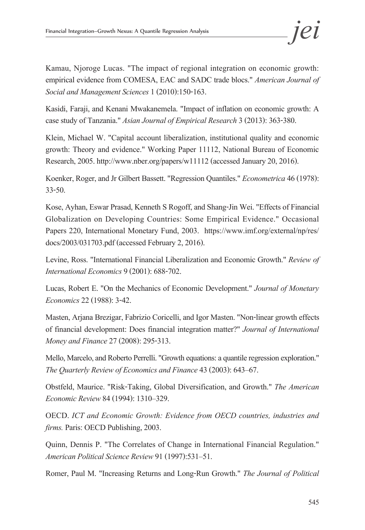Kamau, Njoroge Lucas. "The impact of regional integration on economic growth: empirical evidence from COMESA, EAC and SADC trade blocs." *American Journal of Social and Management Sciences* 1 (2010):150-163.

Kasidi, Faraji, and Kenani Mwakanemela. "Impact of inflation on economic growth: A case study of Tanzania." *Asian Journal of Empirical Research* 3 (2013): 363-380.

Klein, Michael W. "Capital account liberalization, institutional quality and economic growth: Theory and evidence." Working Paper 11112, National Bureau of Economic Research, 2005. http://www.nber.org/papers/w11112 (accessed January 20, 2016).

Koenker, Roger, and Jr Gilbert Bassett. "Regression Quantiles." *Econometrica* 46 (1978): 33-50.

Kose, Ayhan, Eswar Prasad, Kenneth S Rogoff, and Shang-Jin Wei. "Effects of Financial Globalization on Developing Countries: Some Empirical Evidence." Occasional Papers 220, International Monetary Fund, 2003. https://www.imf.org/external/np/res/ docs/2003/031703.pdf (accessed February 2, 2016).

Levine, Ross. "International Financial Liberalization and Economic Growth." *Review of International Economics* 9 (2001): 688-702.

Lucas, Robert E. "On the Mechanics of Economic Development." *Journal of Monetary Economics* 22 (1988): 3-42.

Masten, Arjana Brezigar, Fabrizio Coricelli, and Igor Masten. "Non-linear growth effects of financial development: Does financial integration matter?" *Journal of International Money and Finance* 27 (2008): 295-313.

Mello, Marcelo, and Roberto Perrelli. "Growth equations: a quantile regression exploration." *The Quarterly Review of Economics and Finance* 43 (2003): 643–67.

Obstfeld, Maurice. "Risk-Taking, Global Diversification, and Growth." *The American Economic Review* 84 (1994): 1310–329.

OECD. *ICT and Economic Growth: Evidence from OECD countries, industries and firms.* Paris: OECD Publishing, 2003.

Quinn, Dennis P. "The Correlates of Change in International Financial Regulation." *American Political Science Review* 91 (1997):531–51.

Romer, Paul M. "Increasing Returns and Long-Run Growth." *The Journal of Political*